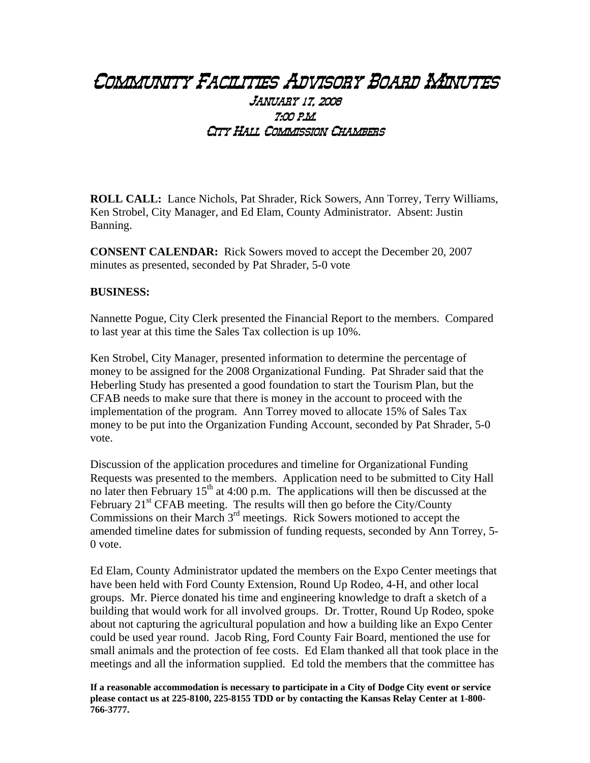## Community Facilities Advisory Board Minutes January 17, 2008 7:00 p.m. City Hall Commission Chambers

**ROLL CALL:** Lance Nichols, Pat Shrader, Rick Sowers, Ann Torrey, Terry Williams, Ken Strobel, City Manager, and Ed Elam, County Administrator. Absent: Justin Banning.

**CONSENT CALENDAR:** Rick Sowers moved to accept the December 20, 2007 minutes as presented, seconded by Pat Shrader, 5-0 vote

## **BUSINESS:**

Nannette Pogue, City Clerk presented the Financial Report to the members. Compared to last year at this time the Sales Tax collection is up 10%.

Ken Strobel, City Manager, presented information to determine the percentage of money to be assigned for the 2008 Organizational Funding. Pat Shrader said that the Heberling Study has presented a good foundation to start the Tourism Plan, but the CFAB needs to make sure that there is money in the account to proceed with the implementation of the program. Ann Torrey moved to allocate 15% of Sales Tax money to be put into the Organization Funding Account, seconded by Pat Shrader, 5-0 vote.

Discussion of the application procedures and timeline for Organizational Funding Requests was presented to the members. Application need to be submitted to City Hall no later then February  $15<sup>th</sup>$  at 4:00 p.m. The applications will then be discussed at the February 21<sup>st</sup> CFAB meeting. The results will then go before the City/County Commissions on their March  $3<sup>rd</sup>$  meetings. Rick Sowers motioned to accept the amended timeline dates for submission of funding requests, seconded by Ann Torrey, 5- 0 vote.

Ed Elam, County Administrator updated the members on the Expo Center meetings that have been held with Ford County Extension, Round Up Rodeo, 4-H, and other local groups. Mr. Pierce donated his time and engineering knowledge to draft a sketch of a building that would work for all involved groups. Dr. Trotter, Round Up Rodeo, spoke about not capturing the agricultural population and how a building like an Expo Center could be used year round. Jacob Ring, Ford County Fair Board, mentioned the use for small animals and the protection of fee costs. Ed Elam thanked all that took place in the meetings and all the information supplied. Ed told the members that the committee has

**If a reasonable accommodation is necessary to participate in a City of Dodge City event or service please contact us at 225-8100, 225-8155 TDD or by contacting the Kansas Relay Center at 1-800- 766-3777.**